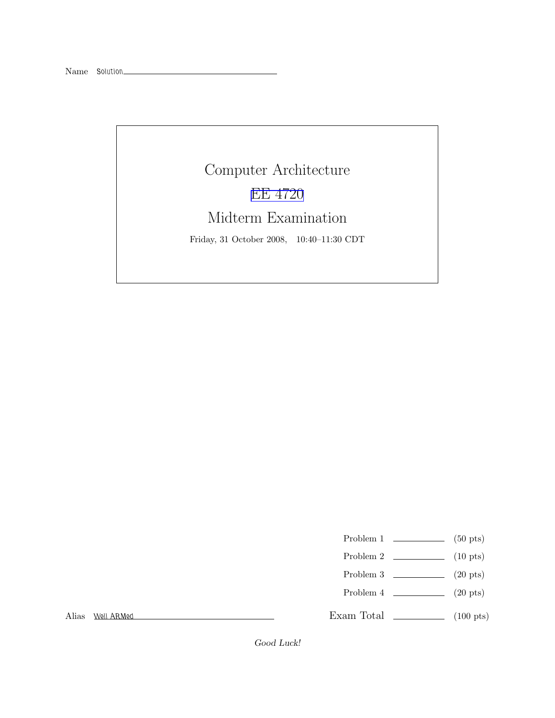# Computer Architecture [EE 4720](http://www.ece.lsu.edu/ee4720/) Midterm Examination Friday, 31 October 2008, 10:40–11:30 CDT

- Problem 1  $\qquad \qquad$  (50 pts)
- Problem 2  $\qquad \qquad$  (10 pts)
- Problem 3  $\qquad \qquad$  (20 pts)
- Problem 4  $\qquad \qquad (20 \text{ pts})$

Exam Total \_\_\_\_\_\_\_\_\_\_\_\_\_\_ (100 pts)

Alias Well ARMed

Good Luck!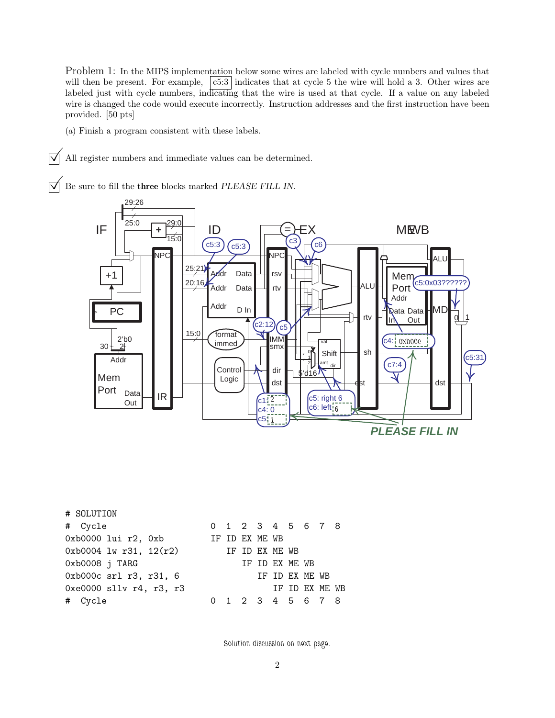Problem 1: In the MIPS implementation below some wires are labeled with cycle numbers and values that will then be present. For example,  $\vert c5:3 \vert$  indicates that at cycle 5 the wire will hold a 3. Other wires are labeled just with cycle numbers, indicating that the wire is used at that cycle. If a value on any labeled wire is changed the code would execute incorrectly. Instruction addresses and the first instruction have been provided. [50 pts]

(a) Finish a program consistent with these labels.

 $\vert \overrightarrow{\bigvee} \vert$  All register numbers and immediate values can be determined.

 $\overrightarrow{V}$  Be sure to fill the three blocks marked PLEASE FILL IN.



| # SOLUTION                 |  |                |                |                   |  |
|----------------------------|--|----------------|----------------|-------------------|--|
| # Cycle                    |  |                |                | 0 1 2 3 4 5 6 7 8 |  |
| $0xb0000$ lui $r2$ , $0xb$ |  | IF ID EX ME WB |                |                   |  |
| $0xb0004$ lw r31, 12(r2)   |  | IF ID EX ME WB |                |                   |  |
| Oxb0008 j TARG             |  |                | IF ID EX ME WB |                   |  |
| 0xb000c srl r3, r31, 6     |  |                |                | IF ID EX ME WB    |  |
| $0xe0000$ sllv r4, r3, r3  |  |                |                | IF ID EX ME WB    |  |
| # Cycle                    |  |                |                | 0 1 2 3 4 5 6 7 8 |  |

Solution discussion on next page.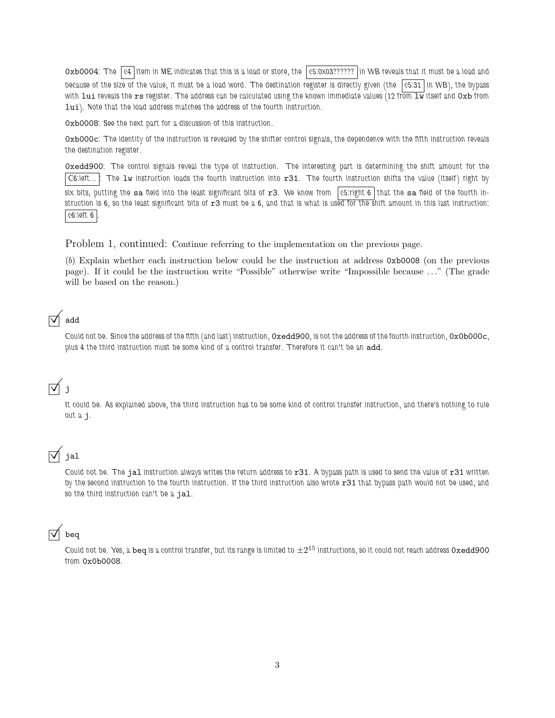$0x$ b0004: The  $|c4|$  item in ME indicates that this is a load or store, the  $|c5:0x03??????|$  in WB reveals that it must be a load and because of the size of the value, it must be a load word. The destination register is directly given (the  $\sqrt{c}5:31$  in WB), the bypass with lui reveals the rs register. The address can be calculated using the known immediate values (12 from  $\overline{1w}$  itself and  $0xb$  from lui). Note that the load address matches the address of the fourth instruction.

0xb0008: See the next part for a discussion of this instruction.

0xb000c: The identity of the instruction is revealed by the shifter control signals, the dependence with the fifth instruction reveals the destination register.

0xedd900: The control signals reveal the type of instruction. The interesting part is determining the shift amount for the  $|\text{C6:left}...|$ : The  $1$ w instruction loads the fourth instruction into  $r31$ . The fourth instruction shifts the value (itself) right by six bits, putting the sa field into the least significant bits of  $r3$ . We know from  $\sqrt{c}$  c5:right 6 that the sa field of the fourth instruction is  $6$ , so the least significant bits of  $r3$  must be a  $6$ , and that is what is used for the shift amount in this last instruction: c6:left 6 .

Problem 1, continued: Continue referring to the implementation on the previous page.

(b) Explain whether each instruction below could be the instruction at address 0xb0008 (on the previous page). If it could be the instruction write "Possible" otherwise write "Impossible because ..." (The grade will be based on the reason.)

## add

Could not be. Since the address of the fifth (and last) instruction, 0xedd900, is not the address of the fourth instruction, 0x0b000c, plus 4 the third instruction must be some kind of a control transfer. Therefore it can't be an add.

# $\overline{\vee}$  j

It could be. As explained above, the third instruction has to be some kind of control transfer instruction, and there's nothing to rule out a j.

# $\overline{\triangledown}$  jal

Could not be. The jal instruction always writes the return address to  $r31$ . A bypass path is used to send the value of  $r31$  written by the second instruction to the fourth instruction. If the third instruction also wrote r31 that bypass path would not be used, and so the third instruction can't be a jal.

### beq

Could not be. Yes, a beq is a control transfer, but its range is limited to  $\pm 2^{15}$  instructions, so it could not reach address <code>Oxedd900</code> from 0x0b0008.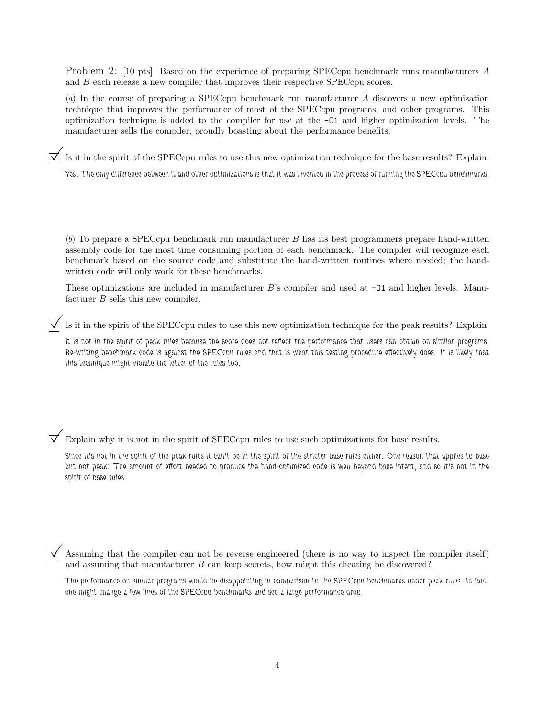Problem 2: [10 pts] Based on the experience of preparing SPECcpu benchmark runs manufacturers A and B each release a new compiler that improves their respective SPECcpu scores.

(a) In the course of preparing a SPECcpu benchmark run manufacturer A discovers a new optimization technique that improves the performance of most of the SPECcpu programs, and other programs. This optimization technique is added to the compiler for use at the -O1 and higher optimization levels. The manufacturer sells the compiler, proudly boasting about the performance benefits.

Is it in the spirit of the SPECcpu rules to use this new optimization technique for the base results? Explain.

Yes. The only difference between it and other optimizations is that it was invented in the process of running the SPECcpu benchmarks.

(b) To prepare a SPECcpu benchmark run manufacturer B has its best programmers prepare hand-written assembly code for the most time consuming portion of each benchmark. The compiler will recognize each benchmark based on the source code and substitute the hand-written routines where needed; the handwritten code will only work for these benchmarks.

These optimizations are included in manufacturer  $B$ 's compiler and used at  $\neg$ 01 and higher levels. Manufacturer B sells this new compiler.

Is it in the spirit of the SPECcpu rules to use this new optimization technique for the peak results? Explain.

It is not in the spirit of peak rules because the score does not reflect the performance that users can obtain on similar programs. Re-writing benchmark code is against the SPECcpu rules and that is what this testing procedure effectively does. It is likely that this technique might violate the letter of the rules too.

 $\triangledown$  Explain why it is not in the spirit of SPECcpu rules to use such optimizations for base results.

Since it's not in the spirit of the peak rules it can't be in the spirit of the stricter base rules either. One reason that applies to base but not peak: The amount of effort needed to produce the hand-optimized code is well beyond base intent, and so it's not in the spirit of base rules.

 Assuming that the compiler can not be reverse engineered (there is no way to inspect the compiler itself) and assuming that manufacturer  $B$  can keep secrets, how might this cheating be discovered?

The performance on similar programs would be disappointing in comparison to the SPECcpu benchmarks under peak rules. In fact, one might change a few lines of the SPECcpu benchmarks and see a large performance drop.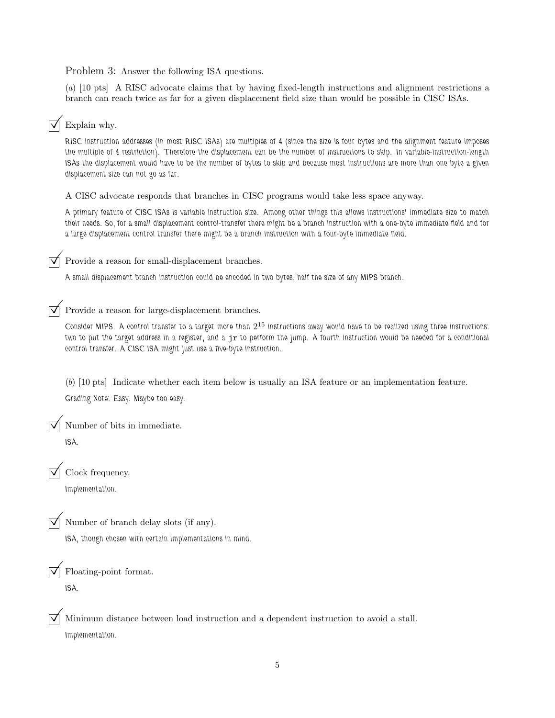Problem 3: Answer the following ISA questions.

(a) [10 pts] A RISC advocate claims that by having fixed-length instructions and alignment restrictions a branch can reach twice as far for a given displacement field size than would be possible in CISC ISAs.

#### $\nabla$  Explain why.

RISC instruction addresses (in most RISC ISAs) are multiples of 4 (since the size is four bytes and the alignment feature imposes the multiple of 4 restriction). Therefore the displacement can be the number of instructions to skip. In variable-instruction-length ISAs the displacement would have to be the number of bytes to skip and because most instructions are more than one byte a given displacement size can not go as far.

A CISC advocate responds that branches in CISC programs would take less space anyway.

A primary feature of CISC ISAs is variable instruction size. Among other things this allows instructions' immediate size to match their needs. So, for a small displacement control-transfer there might be a branch instruction with a one-byte immediate field and for a large displacement control transfer there might be a branch instruction with a four-byte immediate field.

#### Provide a reason for small-displacement branches.

A small displacement branch instruction could be encoded in two bytes, half the size of any MIPS branch.

#### $\triangledown$  Provide a reason for large-displacement branches.

Consider MIPS. A control transfer to a target more than  $2^{15}$  instructions away would have to be realized using three instructions: two to put the target address in a register, and a jr to perform the jump. A fourth instruction would be needed for a conditional control transfer. A CISC ISA might just use a five-byte instruction.

(b) [10 pts] Indicate whether each item below is usually an ISA feature or an implementation feature. Grading Note: Easy. Maybe too easy.

Number of bits in immediate.

ISA.

 $\triangledown$  Clock frequency.

Implementation.

Number of branch delay slots (if any).

ISA, though chosen with certain implementations in mind.

Floating-point format. ISA.

 Minimum distance between load instruction and a dependent instruction to avoid a stall. Implementation.